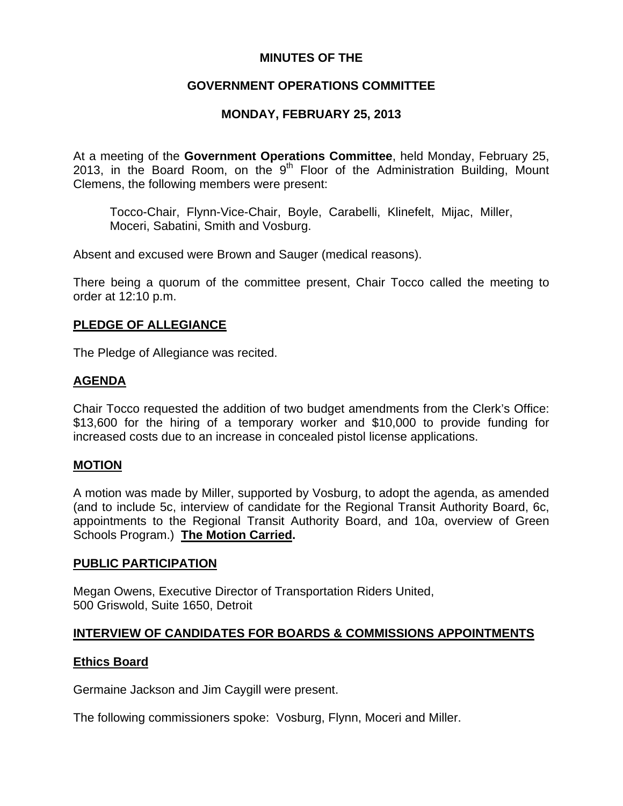# **MINUTES OF THE**

# **GOVERNMENT OPERATIONS COMMITTEE**

# **MONDAY, FEBRUARY 25, 2013**

At a meeting of the **Government Operations Committee**, held Monday, February 25, 2013, in the Board Room, on the  $9<sup>th</sup>$  Floor of the Administration Building, Mount Clemens, the following members were present:

Tocco-Chair, Flynn-Vice-Chair, Boyle, Carabelli, Klinefelt, Mijac, Miller, Moceri, Sabatini, Smith and Vosburg.

Absent and excused were Brown and Sauger (medical reasons).

There being a quorum of the committee present, Chair Tocco called the meeting to order at 12:10 p.m.

## **PLEDGE OF ALLEGIANCE**

The Pledge of Allegiance was recited.

# **AGENDA**

Chair Tocco requested the addition of two budget amendments from the Clerk's Office: \$13,600 for the hiring of a temporary worker and \$10,000 to provide funding for increased costs due to an increase in concealed pistol license applications.

## **MOTION**

A motion was made by Miller, supported by Vosburg, to adopt the agenda, as amended (and to include 5c, interview of candidate for the Regional Transit Authority Board, 6c, appointments to the Regional Transit Authority Board, and 10a, overview of Green Schools Program.) **The Motion Carried.** 

## **PUBLIC PARTICIPATION**

Megan Owens, Executive Director of Transportation Riders United, 500 Griswold, Suite 1650, Detroit

# **INTERVIEW OF CANDIDATES FOR BOARDS & COMMISSIONS APPOINTMENTS**

## **Ethics Board**

Germaine Jackson and Jim Caygill were present.

The following commissioners spoke: Vosburg, Flynn, Moceri and Miller.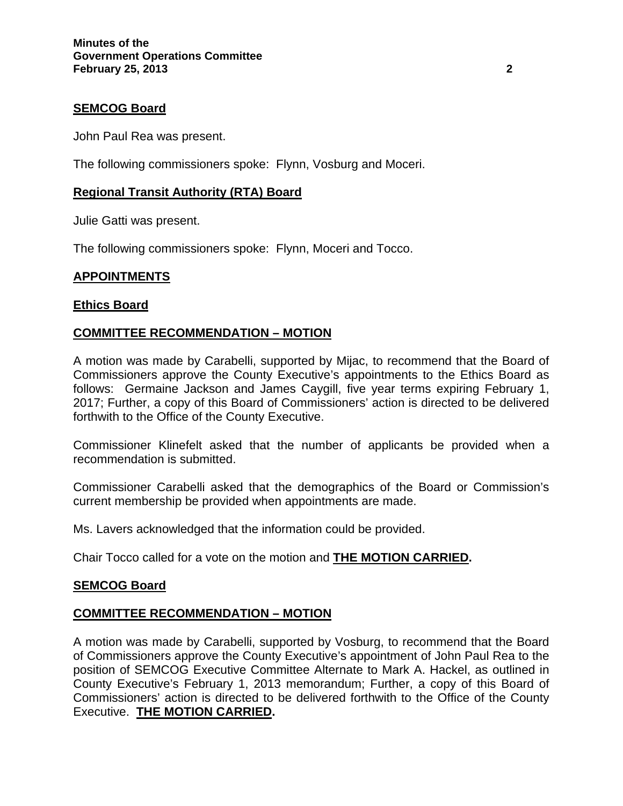# **SEMCOG Board**

John Paul Rea was present.

The following commissioners spoke: Flynn, Vosburg and Moceri.

# **Regional Transit Authority (RTA) Board**

Julie Gatti was present.

The following commissioners spoke: Flynn, Moceri and Tocco.

# **APPOINTMENTS**

## **Ethics Board**

## **COMMITTEE RECOMMENDATION – MOTION**

A motion was made by Carabelli, supported by Mijac, to recommend that the Board of Commissioners approve the County Executive's appointments to the Ethics Board as follows: Germaine Jackson and James Caygill, five year terms expiring February 1, 2017; Further, a copy of this Board of Commissioners' action is directed to be delivered forthwith to the Office of the County Executive.

Commissioner Klinefelt asked that the number of applicants be provided when a recommendation is submitted.

Commissioner Carabelli asked that the demographics of the Board or Commission's current membership be provided when appointments are made.

Ms. Lavers acknowledged that the information could be provided.

Chair Tocco called for a vote on the motion and **THE MOTION CARRIED.** 

## **SEMCOG Board**

## **COMMITTEE RECOMMENDATION – MOTION**

A motion was made by Carabelli, supported by Vosburg, to recommend that the Board of Commissioners approve the County Executive's appointment of John Paul Rea to the position of SEMCOG Executive Committee Alternate to Mark A. Hackel, as outlined in County Executive's February 1, 2013 memorandum; Further, a copy of this Board of Commissioners' action is directed to be delivered forthwith to the Office of the County Executive. **THE MOTION CARRIED.**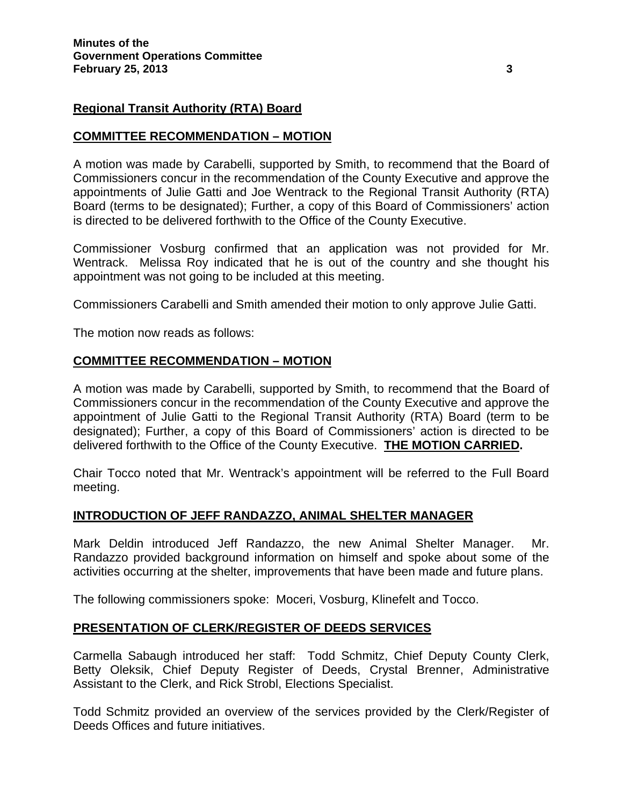## **Regional Transit Authority (RTA) Board**

## **COMMITTEE RECOMMENDATION – MOTION**

A motion was made by Carabelli, supported by Smith, to recommend that the Board of Commissioners concur in the recommendation of the County Executive and approve the appointments of Julie Gatti and Joe Wentrack to the Regional Transit Authority (RTA) Board (terms to be designated); Further, a copy of this Board of Commissioners' action is directed to be delivered forthwith to the Office of the County Executive.

Commissioner Vosburg confirmed that an application was not provided for Mr. Wentrack. Melissa Roy indicated that he is out of the country and she thought his appointment was not going to be included at this meeting.

Commissioners Carabelli and Smith amended their motion to only approve Julie Gatti.

The motion now reads as follows:

## **COMMITTEE RECOMMENDATION – MOTION**

A motion was made by Carabelli, supported by Smith, to recommend that the Board of Commissioners concur in the recommendation of the County Executive and approve the appointment of Julie Gatti to the Regional Transit Authority (RTA) Board (term to be designated); Further, a copy of this Board of Commissioners' action is directed to be delivered forthwith to the Office of the County Executive. **THE MOTION CARRIED.** 

Chair Tocco noted that Mr. Wentrack's appointment will be referred to the Full Board meeting.

## **INTRODUCTION OF JEFF RANDAZZO, ANIMAL SHELTER MANAGER**

Mark Deldin introduced Jeff Randazzo, the new Animal Shelter Manager. Mr. Randazzo provided background information on himself and spoke about some of the activities occurring at the shelter, improvements that have been made and future plans.

The following commissioners spoke: Moceri, Vosburg, Klinefelt and Tocco.

## **PRESENTATION OF CLERK/REGISTER OF DEEDS SERVICES**

Carmella Sabaugh introduced her staff: Todd Schmitz, Chief Deputy County Clerk, Betty Oleksik, Chief Deputy Register of Deeds, Crystal Brenner, Administrative Assistant to the Clerk, and Rick Strobl, Elections Specialist.

Todd Schmitz provided an overview of the services provided by the Clerk/Register of Deeds Offices and future initiatives.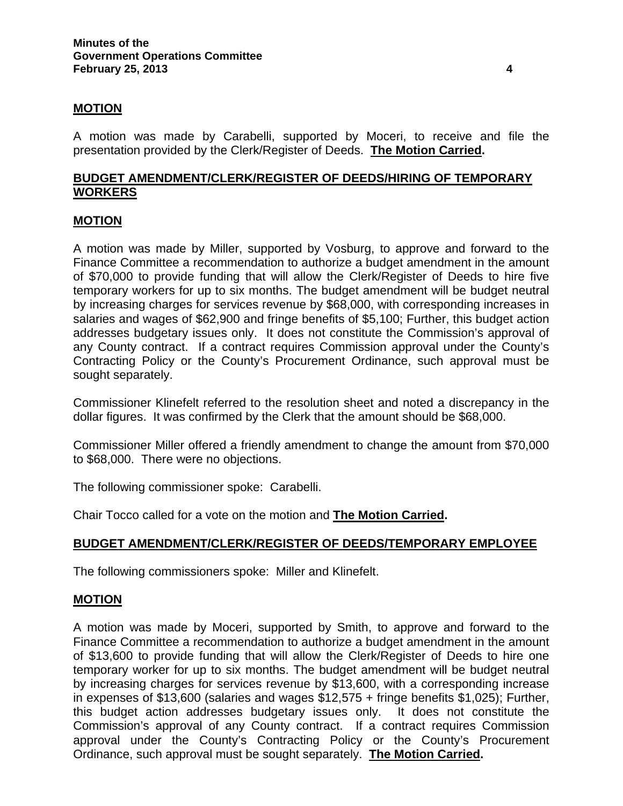## **MOTION**

A motion was made by Carabelli, supported by Moceri, to receive and file the presentation provided by the Clerk/Register of Deeds. **The Motion Carried.**

## **BUDGET AMENDMENT/CLERK/REGISTER OF DEEDS/HIRING OF TEMPORARY WORKERS**

#### **MOTION**

A motion was made by Miller, supported by Vosburg, to approve and forward to the Finance Committee a recommendation to authorize a budget amendment in the amount of \$70,000 to provide funding that will allow the Clerk/Register of Deeds to hire five temporary workers for up to six months. The budget amendment will be budget neutral by increasing charges for services revenue by \$68,000, with corresponding increases in salaries and wages of \$62,900 and fringe benefits of \$5,100; Further, this budget action addresses budgetary issues only. It does not constitute the Commission's approval of any County contract. If a contract requires Commission approval under the County's Contracting Policy or the County's Procurement Ordinance, such approval must be sought separately.

Commissioner Klinefelt referred to the resolution sheet and noted a discrepancy in the dollar figures. It was confirmed by the Clerk that the amount should be \$68,000.

Commissioner Miller offered a friendly amendment to change the amount from \$70,000 to \$68,000. There were no objections.

The following commissioner spoke: Carabelli.

Chair Tocco called for a vote on the motion and **The Motion Carried.**

## **BUDGET AMENDMENT/CLERK/REGISTER OF DEEDS/TEMPORARY EMPLOYEE**

The following commissioners spoke: Miller and Klinefelt.

#### **MOTION**

A motion was made by Moceri, supported by Smith, to approve and forward to the Finance Committee a recommendation to authorize a budget amendment in the amount of \$13,600 to provide funding that will allow the Clerk/Register of Deeds to hire one temporary worker for up to six months. The budget amendment will be budget neutral by increasing charges for services revenue by \$13,600, with a corresponding increase in expenses of \$13,600 (salaries and wages \$12,575 + fringe benefits \$1,025); Further, this budget action addresses budgetary issues only. It does not constitute the Commission's approval of any County contract. If a contract requires Commission approval under the County's Contracting Policy or the County's Procurement Ordinance, such approval must be sought separately. **The Motion Carried.**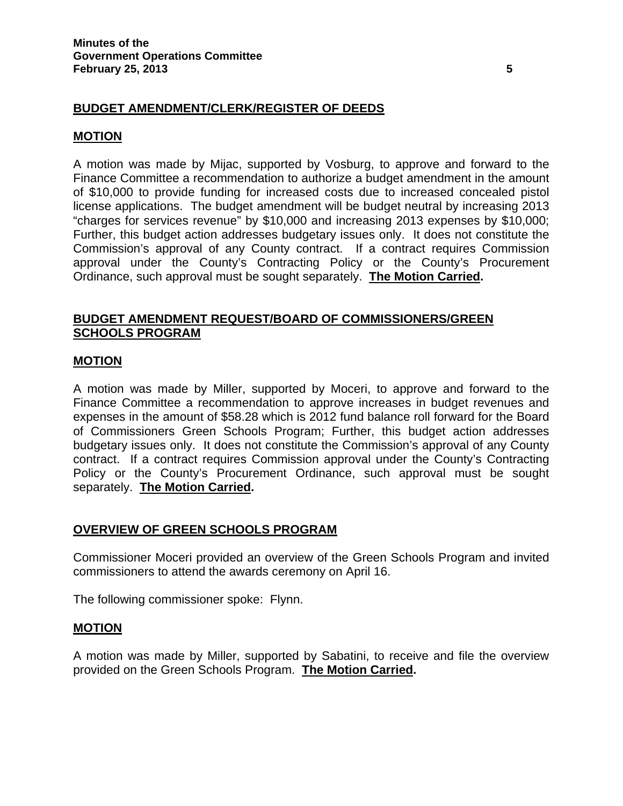# **BUDGET AMENDMENT/CLERK/REGISTER OF DEEDS**

## **MOTION**

A motion was made by Mijac, supported by Vosburg, to approve and forward to the Finance Committee a recommendation to authorize a budget amendment in the amount of \$10,000 to provide funding for increased costs due to increased concealed pistol license applications. The budget amendment will be budget neutral by increasing 2013 "charges for services revenue" by \$10,000 and increasing 2013 expenses by \$10,000; Further, this budget action addresses budgetary issues only. It does not constitute the Commission's approval of any County contract. If a contract requires Commission approval under the County's Contracting Policy or the County's Procurement Ordinance, such approval must be sought separately. **The Motion Carried.** 

# **BUDGET AMENDMENT REQUEST/BOARD OF COMMISSIONERS/GREEN SCHOOLS PROGRAM**

## **MOTION**

A motion was made by Miller, supported by Moceri, to approve and forward to the Finance Committee a recommendation to approve increases in budget revenues and expenses in the amount of \$58.28 which is 2012 fund balance roll forward for the Board of Commissioners Green Schools Program; Further, this budget action addresses budgetary issues only. It does not constitute the Commission's approval of any County contract. If a contract requires Commission approval under the County's Contracting Policy or the County's Procurement Ordinance, such approval must be sought separately. **The Motion Carried.** 

## **OVERVIEW OF GREEN SCHOOLS PROGRAM**

Commissioner Moceri provided an overview of the Green Schools Program and invited commissioners to attend the awards ceremony on April 16.

The following commissioner spoke: Flynn.

## **MOTION**

A motion was made by Miller, supported by Sabatini, to receive and file the overview provided on the Green Schools Program. **The Motion Carried.**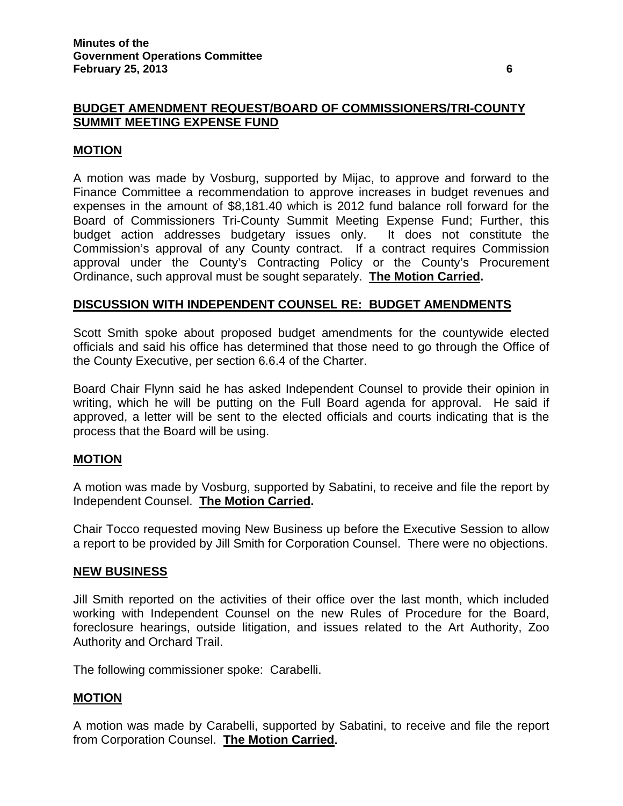### **MOTION**

A motion was made by Vosburg, supported by Mijac, to approve and forward to the Finance Committee a recommendation to approve increases in budget revenues and expenses in the amount of \$8,181.40 which is 2012 fund balance roll forward for the Board of Commissioners Tri-County Summit Meeting Expense Fund; Further, this budget action addresses budgetary issues only. It does not constitute the Commission's approval of any County contract. If a contract requires Commission approval under the County's Contracting Policy or the County's Procurement Ordinance, such approval must be sought separately. **The Motion Carried.** 

#### **DISCUSSION WITH INDEPENDENT COUNSEL RE: BUDGET AMENDMENTS**

Scott Smith spoke about proposed budget amendments for the countywide elected officials and said his office has determined that those need to go through the Office of the County Executive, per section 6.6.4 of the Charter.

Board Chair Flynn said he has asked Independent Counsel to provide their opinion in writing, which he will be putting on the Full Board agenda for approval. He said if approved, a letter will be sent to the elected officials and courts indicating that is the process that the Board will be using.

#### **MOTION**

A motion was made by Vosburg, supported by Sabatini, to receive and file the report by Independent Counsel. **The Motion Carried.** 

Chair Tocco requested moving New Business up before the Executive Session to allow a report to be provided by Jill Smith for Corporation Counsel. There were no objections.

#### **NEW BUSINESS**

Jill Smith reported on the activities of their office over the last month, which included working with Independent Counsel on the new Rules of Procedure for the Board, foreclosure hearings, outside litigation, and issues related to the Art Authority, Zoo Authority and Orchard Trail.

The following commissioner spoke: Carabelli.

#### **MOTION**

A motion was made by Carabelli, supported by Sabatini, to receive and file the report from Corporation Counsel. **The Motion Carried.**